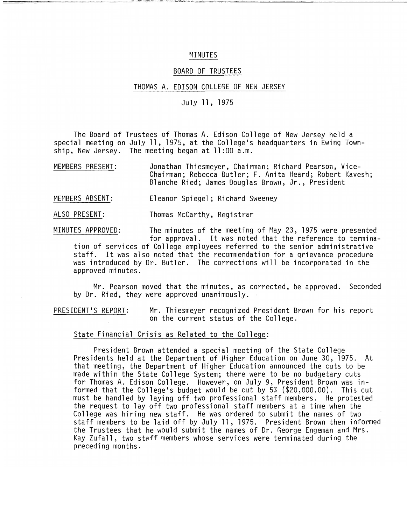### MINUTES

### BOARD OF TRUSTEES

#### THOMAS A. EDISON COLLEGE OF NEW JERSEY

# July 11. 1975

The Board of Trustees of Thomas A. Edison College of New Jersey held a special meeting on July 11. 1975, at the College's headquarters in Ewing Township. New Jersey. The meeting began at **11** :00 a.m.

MEMBERS PRESENT: Jonathan Thiesmeyer, Chairman; Richard Pearson, Vice-Chairman; Rebecca Butler; F. Anita Heard; Robert Kavesh; Blanche Ried; James Douglas Brown, Jr., President

MEMBERS ABSENT: Eleanor Spiegel; Richard Sweeney

ALSO PRESENT: Thomas McCarthy. Registrar

MINUTES APPROVED: The minutes of the meeting of May 23, 1975 were presented for approval. It was noted that the reference to termina-

tion of services of College employees referred to the senior administrative staff. It was also noted that the recommendation for a grievance procedure was introduced by Dr. Butler. The corrections will be incorporated in the approved minutes.

Mr. Pearson moved that the minutes, as corrected, be approved. Seconded by Dr. Ried, they were approved unanimously.

PRESIDENT'S REPORT: Mr. Thiesmeyer recognized President Brown for his report on the current status of the College.

#### State Financial Crisis as Related to the College:

President Brown attended a special meeting of the State College Presidents held at the Department of Higher Education on June 30, 1975. At that meeting, the Department of Higher Education announced the cuts to be made within the State College System; there were to be no budgetary cuts for Thomas A. Edison College. However, on July 9, President Brown was informed that the College's budget would be cut by 5% (\$20.000.00). This cut must be handled by laying off two professional staff members. He protested the request to layoff two professional staff members at a time when the College was hiring new staff. He was ordered to submit the names of two staff members to be laid off by July 11, 1975. President Brown then informed the Trustees that he would submit the names of Dr. George Engeman and Mrs. Kay Zufall, two staff members whose services were terminated during the preceding months.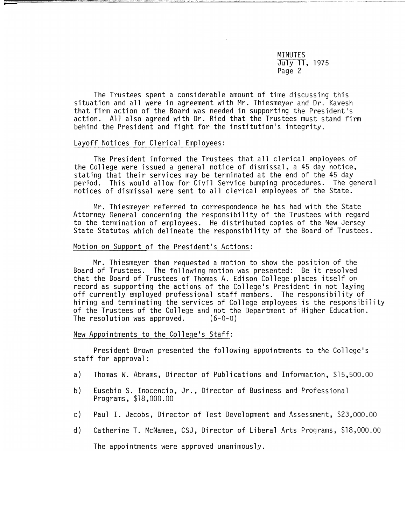MINUTES July 11, 1975 Page 2

The Trustees spent a considerable amount of time discussing this situation and all were in agreement with Mr. Thiesmeyer and Dr. Kavesh that firm action of the Board was needed in supporting the President's action. All also agreed with Dr. Ried that the Trustees must stand firm behind the President and fight for the institution's integrity.

### Layoff Notices for Clerical Employees:

The President informed the Trustees that all clerical employees of the College were issued a general notice of dismissal, a 45 day notice, stating that their services may be terminated at the end of the 45 day period. This would allow for Civil Service bumping procedures. The general notices of dismissal were sent to all clerical employees of the State.

Mr. Thiesmeyer referred to correspondence he has had with the State Attorney General concerning the responsibility of the Trustees with regard to the termination of employees. He distributed copies of the New Jersey State Statutes which delineate the responsibility of the Board of Trustees.

#### Motion on Support of the President's Actions:

Mr. Thiesmeyer then requested a motion to show the position of the Board of Trustees. The following motion was presented: Be it resolved that the Board of Trustees of Thomas A. Edison College places itself on record as supporting the actions of the College's President in not laying off currently employed professional staff members. The responsibility of hiring and terminating the services of College employees is the responsibility of the Trustees of the College and not the Department of Higher Education. The resolution was approved. (6-0-0)

# New Appointments to the College's Staff:

President Brown presented the following appointments to the College's staff for approval:

- a) Thomas W. Abrams, Director of Publications and Information, \$15,500.00
- b) Eusebio S. Inocencio, Jr., Director of Business and Professional Programs, \$18,000.00
- c) Paul I. Jacobs, Director of Test Development and Assessment, \$23,000.00
- d) Catherine T. McNamee, CSJ, Director of Liberal Arts Programs, \$18,000.00

The appointments were approved unanimously.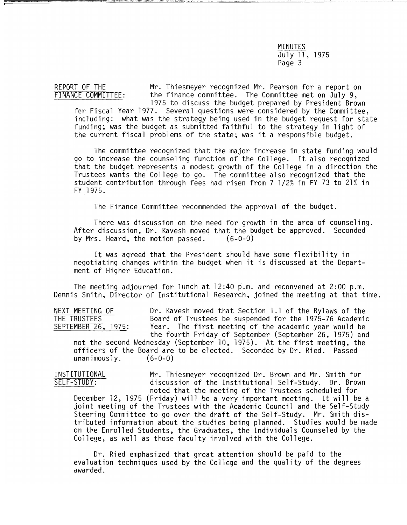# MINUTES July 11, 1975 Page 3

REPORT OF THE Mr. Thiesmeyer recognized Mr. Pearson for a report on<br>FINANCE COMMITTEE: the finance committee. The Committee met on July 9, the finance committee. The Committee met on July 9, 1975 to discuss the budget prepared by President Brown

for Fiscal Year 1977. Several questions were considered by the Committee, including: what was the strategy being used in the budget request for state funding; was the budget as submitted faithful to the strategy in light of the current fiscal problems of the state; was it a responsible budget.

The committee recognized that the major increase in state funding would go to increase the counseling function of the College. It also recognized that the budget represents a modest growth of the College in a direction the Trustees wants the College to go. The committee also recognized that the student contribution through fees had risen from 7 1/2% in FY 73 to 21% in FY 1975.

The Finance Committee recommended the approval of the budget.

There was discussion on the need for growth in the area of counseling. After discussion, Dr. Kavesh moved that the budget be approved. Seconded<br>by Mrs. Heard, the motion passed. (6-0-0) by Mrs. Heard, the motion passed.

It was agreed that the President should have some flexibility in negotiating changes within the budget when it is discussed at the Department of Higher Education.

The meeting adjourned for lunch at 12:40 p.m. and reconvened at 2:00 p.m. Dennis Smith, Director of Institutional Research, joined the meeting at that time.

NEXT MEETING OF THE Ravesh moved that Section 1.1 of the Bylaws of the Device of the Device Board of Trustees be suspended for the 1975-76 Academic THE TRUSTEES Board of Trustees be suspended for the 1975-76 Academic<br>SEPTEMBER 26, 1975: Year. The first meeting of the academic year would be Year. The first meeting of the academic year would be the fourth Friday of September (September 26, 1975) and

not the second Wednesday (September 10, 1975). At the first meeting, the officers of the Board are to be elected. Seconded bv Dr. Ried. Passed unanimously. (6-0-0)

INSTITUTIONAL Mr. Thiesmeyer recognized Dr. Brown and Mr. Smith for<br>SELF-STUDY: discussion of the Institutional Self-Study. Dr. Brown discussion of the Institutional Self-Study. Dr. Brown noted that the meeting of the Trustees scheduled for

December 12, 1975 (Friday) will be a very important meeting. It will be a joint meeting of the Trustees with the Academic Council and the Self-Study Steering Committee to go over the draft of the Self-Study. Mr. Smith distributed information about the studies being planned. Studies would be made on the Enrolled Students, the Graduates, the Individuals Counseled by the College, as well as those faculty involved with the College.

Dr. Ried emphasized that great attention should be paid to the evaluation techniques used by the College and the quality of the degrees awarded.